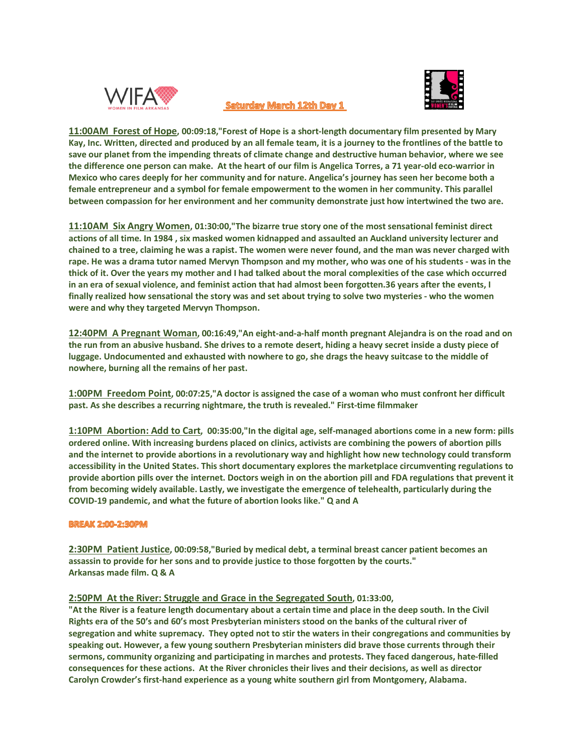

# Saturday March 12th Day 1



**11:00AM Forest of Hope, 00:09:18,"Forest of Hope is a short-length documentary film presented by Mary Kay, Inc. Written, directed and produced by an all female team, it is a journey to the frontlines of the battle to save our planet from the impending threats of climate change and destructive human behavior, where we see the difference one person can make. At the heart of our film is Angelica Torres, a 71 year-old eco-warrior in Mexico who cares deeply for her community and for nature. Angelica's journey has seen her become both a female entrepreneur and a symbol for female empowerment to the women in her community. This parallel between compassion for her environment and her community demonstrate just how intertwined the two are.**

**11:10AM Six Angry Women, 01:30:00,"The bizarre true story one of the most sensational feminist direct actions of all time. In 1984 , six masked women kidnapped and assaulted an Auckland university lecturer and chained to a tree, claiming he was a rapist. The women were never found, and the man was never charged with rape. He was a drama tutor named Mervyn Thompson and my mother, who was one of his students - was in the thick of it. Over the years my mother and I had talked about the moral complexities of the case which occurred in an era of sexual violence, and feminist action that had almost been forgotten.36 years after the events, I finally realized how sensational the story was and set about trying to solve two mysteries - who the women were and why they targeted Mervyn Thompson.**

**12:40PM A Pregnant Woman, 00:16:49,"An eight-and-a-half month pregnant Alejandra is on the road and on the run from an abusive husband. She drives to a remote desert, hiding a heavy secret inside a dusty piece of luggage. Undocumented and exhausted with nowhere to go, she drags the heavy suitcase to the middle of nowhere, burning all the remains of her past.**

**1:00PM Freedom Point, 00:07:25,"A doctor is assigned the case of a woman who must confront her difficult past. As she describes a recurring nightmare, the truth is revealed." First-time filmmaker**

**1:10PM Abortion: Add to Cart, 00:35:00,"In the digital age, self-managed abortions come in a new form: pills ordered online. With increasing burdens placed on clinics, activists are combining the powers of abortion pills and the internet to provide abortions in a revolutionary way and highlight how new technology could transform accessibility in the United States. This short documentary explores the marketplace circumventing regulations to provide abortion pills over the internet. Doctors weigh in on the abortion pill and FDA regulations that prevent it from becoming widely available. Lastly, we investigate the emergence of telehealth, particularly during the COVID-19 pandemic, and what the future of abortion looks like." Q and A**

### **BREAK 2:00-2:30PM**

**2:30PM Patient Justice, 00:09:58,"Buried by medical debt, a terminal breast cancer patient becomes an assassin to provide for her sons and to provide justice to those forgotten by the courts." Arkansas made film. Q & A** 

# **2:50PM At the River: Struggle and Grace in the Segregated South, 01:33:00,**

**"At the River is a feature length documentary about a certain time and place in the deep south. In the Civil Rights era of the 50's and 60's most Presbyterian ministers stood on the banks of the cultural river of segregation and white supremacy. They opted not to stir the waters in their congregations and communities by speaking out. However, a few young southern Presbyterian ministers did brave those currents through their sermons, community organizing and participating in marches and protests. They faced dangerous, hate-filled consequences for these actions. At the River chronicles their lives and their decisions, as well as director Carolyn Crowder's first-hand experience as a young white southern girl from Montgomery, Alabama.**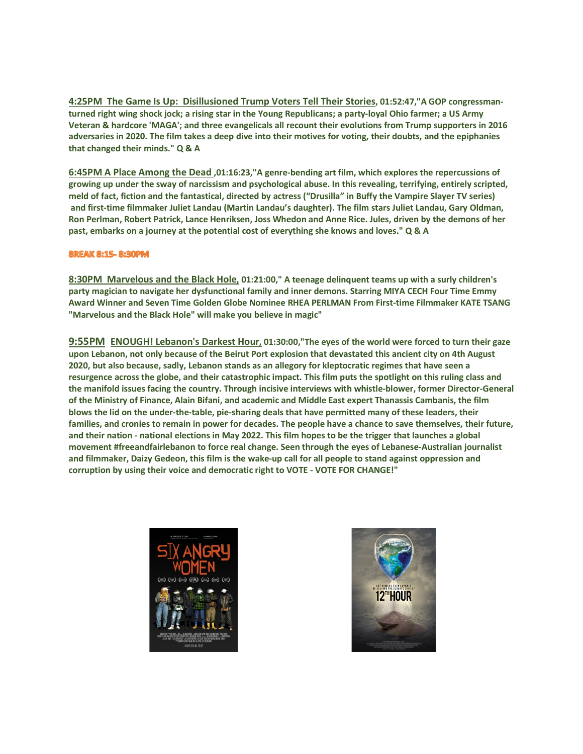**4:25PM The Game Is Up: Disillusioned Trump Voters Tell Their Stories, 01:52:47,"A GOP congressmanturned right wing shock jock; a rising star in the Young Republicans; a party-loyal Ohio farmer; a US Army Veteran & hardcore 'MAGA'; and three evangelicals all recount their evolutions from Trump supporters in 2016 adversaries in 2020. The film takes a deep dive into their motives for voting, their doubts, and the epiphanies that changed their minds." Q & A**

**6:45PM A Place Among the Dead ,01:16:23,"A genre-bending art film, which explores the repercussions of growing up under the sway of narcissism and psychological abuse. In this revealing, terrifying, entirely scripted, meld of fact, fiction and the fantastical, directed by actress ("Drusilla" in Buffy the Vampire Slayer TV series) and first-time filmmaker Juliet Landau (Martin Landau's daughter). The film stars Juliet Landau, Gary Oldman, Ron Perlman, Robert Patrick, Lance Henriksen, Joss Whedon and Anne Rice. Jules, driven by the demons of her past, embarks on a journey at the potential cost of everything she knows and loves." Q & A**

## **8REAK 8:15-8:30PM**

**8:30PM Marvelous and the Black Hole, 01:21:00," A teenage delinquent teams up with a surly children's party magician to navigate her dysfunctional family and inner demons. Starring MIYA CECH Four Time Emmy Award Winner and Seven Time Golden Globe Nominee RHEA PERLMAN From First-time Filmmaker KATE TSANG "Marvelous and the Black Hole" will make you believe in magic"** 

**9:55PM ENOUGH! Lebanon's Darkest Hour, 01:30:00,"The eyes of the world were forced to turn their gaze upon Lebanon, not only because of the Beirut Port explosion that devastated this ancient city on 4th August 2020, but also because, sadly, Lebanon stands as an allegory for kleptocratic regimes that have seen a resurgence across the globe, and their catastrophic impact. This film puts the spotlight on this ruling class and the manifold issues facing the country. Through incisive interviews with whistle-blower, former Director-General of the Ministry of Finance, Alain Bifani, and academic and Middle East expert Thanassis Cambanis, the film blows the lid on the under-the-table, pie-sharing deals that have permitted many of these leaders, their families, and cronies to remain in power for decades. The people have a chance to save themselves, their future, and their nation - national elections in May 2022. This film hopes to be the trigger that launches a global movement #freeandfairlebanon to force real change. Seen through the eyes of Lebanese-Australian journalist and filmmaker, Daizy Gedeon, this film is the wake-up call for all people to stand against oppression and corruption by using their voice and democratic right to VOTE - VOTE FOR CHANGE!"**



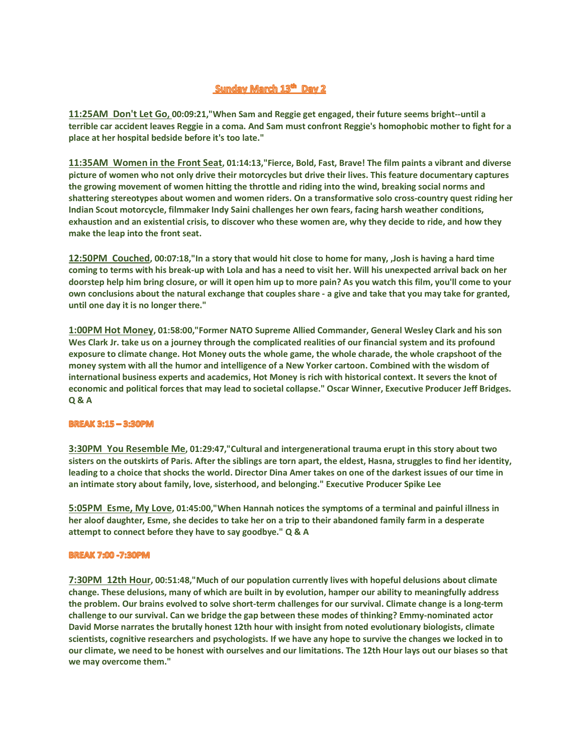# Sunday March 13<sup>th</sup> Day 2

**11:25AM Don't Let Go, 00:09:21,"When Sam and Reggie get engaged, their future seems bright--until a terrible car accident leaves Reggie in a coma. And Sam must confront Reggie's homophobic mother to fight for a place at her hospital bedside before it's too late."**

**11:35AM Women in the Front Seat, 01:14:13,"Fierce, Bold, Fast, Brave! The film paints a vibrant and diverse picture of women who not only drive their motorcycles but drive their lives. This feature documentary captures the growing movement of women hitting the throttle and riding into the wind, breaking social norms and shattering stereotypes about women and women riders. On a transformative solo cross-country quest riding her Indian Scout motorcycle, filmmaker Indy Saini challenges her own fears, facing harsh weather conditions, exhaustion and an existential crisis, to discover who these women are, why they decide to ride, and how they make the leap into the front seat.** 

**12:50PM Couched, 00:07:18,"In a story that would hit close to home for many, ,Josh is having a hard time coming to terms with his break-up with Lola and has a need to visit her. Will his unexpected arrival back on her doorstep help him bring closure, or will it open him up to more pain? As you watch this film, you'll come to your own conclusions about the natural exchange that couples share - a give and take that you may take for granted, until one day it is no longer there."**

**1:00PM Hot Money, 01:58:00,"Former NATO Supreme Allied Commander, General Wesley Clark and his son Wes Clark Jr. take us on a journey through the complicated realities of our financial system and its profound exposure to climate change. Hot Money outs the whole game, the whole charade, the whole crapshoot of the money system with all the humor and intelligence of a New Yorker cartoon. Combined with the wisdom of international business experts and academics, Hot Money is rich with historical context. It severs the knot of economic and political forces that may lead to societal collapse." Oscar Winner, Executive Producer Jeff Bridges. Q & A**

### **BREAK 3:15 - 3:30PM**

**3:30PM You Resemble Me, 01:29:47,"Cultural and intergenerational trauma erupt in this story about two sisters on the outskirts of Paris. After the siblings are torn apart, the eldest, Hasna, struggles to find her identity, leading to a choice that shocks the world. Director Dina Amer takes on one of the darkest issues of our time in an intimate story about family, love, sisterhood, and belonging." Executive Producer Spike Lee** 

**5:05PM Esme, My Love, 01:45:00,"When Hannah notices the symptoms of a terminal and painful illness in her aloof daughter, Esme, she decides to take her on a trip to their abandoned family farm in a desperate attempt to connect before they have to say goodbye." Q & A**

### **BREAK 7:00 -7:30PM**

**7:30PM 12th Hour, 00:51:48,"Much of our population currently lives with hopeful delusions about climate change. These delusions, many of which are built in by evolution, hamper our ability to meaningfully address the problem. Our brains evolved to solve short-term challenges for our survival. Climate change is a long-term challenge to our survival. Can we bridge the gap between these modes of thinking? Emmy-nominated actor David Morse narrates the brutally honest 12th hour with insight from noted evolutionary biologists, climate scientists, cognitive researchers and psychologists. If we have any hope to survive the changes we locked in to our climate, we need to be honest with ourselves and our limitations. The 12th Hour lays out our biases so that we may overcome them."**